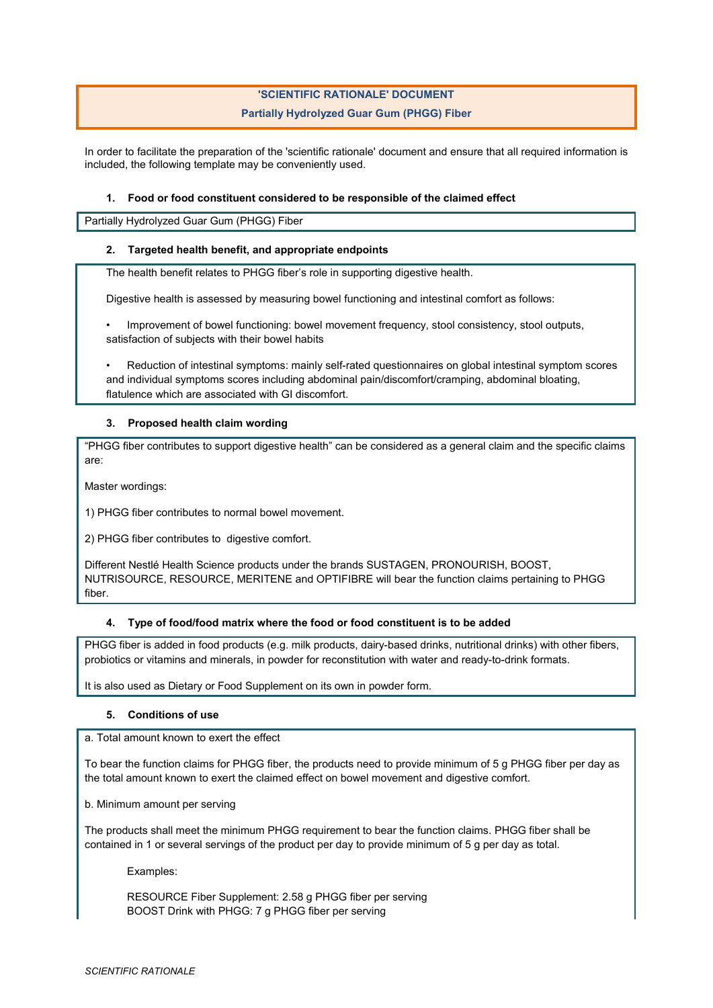# **'SCIENTIFIC RATIONALE' DOCUMENT Partially Hydrolyzed Guar Gum (PHGG) Fiber**

In order to facilitate the preparation of the 'scientific rationale' document and ensure that all required information is included, the following template may be conveniently used.

### **1. Food or food constituent considered to be responsible of the claimed effect**

Partially Hydrolyzed Guar Gum (PHGG) Fiber

#### **2. Targeted health benefit, and appropriate endpoints**

The health benefit relates to PHGG fiber's role in supporting digestive health.

Digestive health is assessed by measuring bowel functioning and intestinal comfort as follows:

• Improvement of bowel functioning: bowel movement frequency, stool consistency, stool outputs, satisfaction of subjects with their bowel habits

• Reduction of intestinal symptoms: mainly self-rated questionnaires on global intestinal symptom scores and individual symptoms scores including abdominal pain/discomfort/cramping, abdominal bloating, flatulence which are associated with GI discomfort.

# **3. Proposed health claim wording**

"PHGG fiber contributes to support digestive health" can be considered as a general claim and the specific claims are:

Master wordings:

1) PHGG fiber contributes to normal bowel movement.

2) PHGG fiber contributes to digestive comfort.

Different Nestlé Health Science products under the brands SUSTAGEN, PRONOURISH, BOOST, NUTRISOURCE, RESOURCE, MERITENE and OPTIFIBRE will bear the function claims pertaining to PHGG fiber.

# **4. Type of food/food matrix where the food or food constituent is to be added**

PHGG fiber is added in food products (e.g. milk products, dairy-based drinks, nutritional drinks) with other fibers, probiotics or vitamins and minerals, in powder for reconstitution with water and ready-to-drink formats.

It is also used as Dietary or Food Supplement on its own in powder form.

#### **5. Conditions of use**

a. Total amount known to exert the effect

To bear the function claims for PHGG fiber, the products need to provide minimum of 5 g PHGG fiber per day as the total amount known to exert the claimed effect on bowel movement and digestive comfort.

b. Minimum amount per serving

The products shall meet the minimum PHGG requirement to bear the function claims. PHGG fiber shall be contained in 1 or several servings of the product per day to provide minimum of 5 g per day as total.

Examples:

RESOURCE Fiber Supplement: 2.58 g PHGG fiber per serving BOOST Drink with PHGG: 7 g PHGG fiber per serving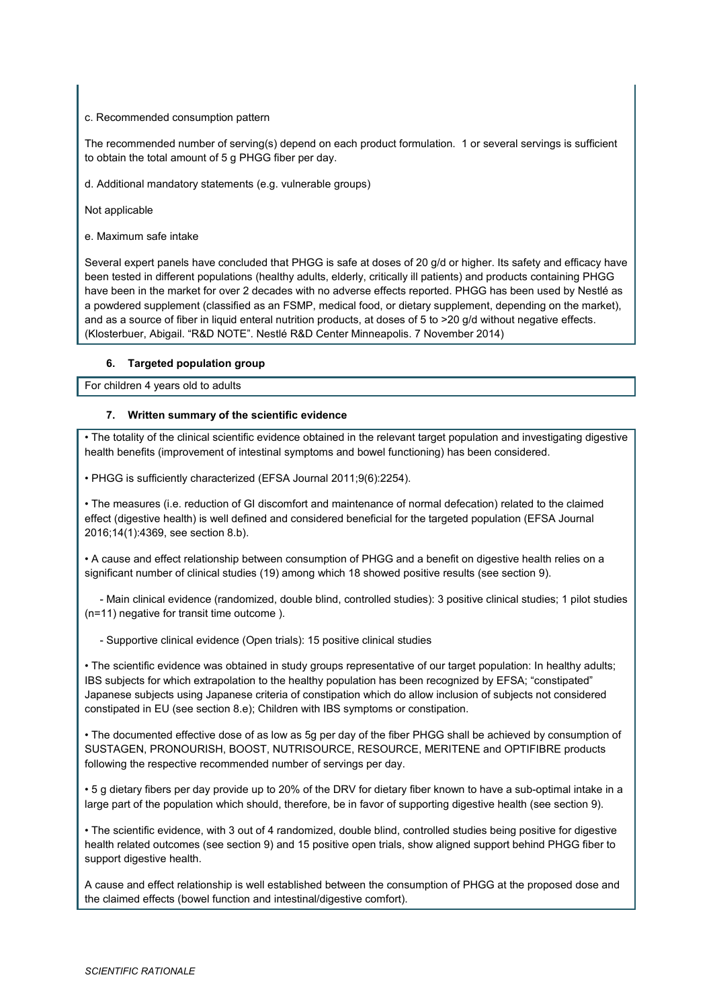#### c. Recommended consumption pattern

The recommended number of serving(s) depend on each product formulation. 1 or several servings is sufficient to obtain the total amount of 5 g PHGG fiber per day.

d. Additional mandatory statements (e.g. vulnerable groups)

Not applicable

e. Maximum safe intake

Several expert panels have concluded that PHGG is safe at doses of 20 g/d or higher. Its safety and efficacy have been tested in different populations (healthy adults, elderly, critically ill patients) and products containing PHGG have been in the market for over 2 decades with no adverse effects reported. PHGG has been used by Nestlé as a powdered supplement (classified as an FSMP, medical food, or dietary supplement, depending on the market), and as a source of fiber in liquid enteral nutrition products, at doses of 5 to >20 q/d without negative effects. (Klosterbuer, Abigail. "R&D NOTE". Nestlé R&D Center Minneapolis. 7 November 2014)

#### **6. Targeted population group**

For children 4 years old to adults

#### **7. Written summary of the scientific evidence**

• The totality of the clinical scientific evidence obtained in the relevant target population and investigating digestive health benefits (improvement of intestinal symptoms and bowel functioning) has been considered.

• PHGG is sufficiently characterized (EFSA Journal 2011;9(6):2254).

• The measures (i.e. reduction of GI discomfort and maintenance of normal defecation) related to the claimed effect (digestive health) is well defined and considered beneficial for the targeted population (EFSA Journal 2016;14(1):4369, see section 8.b).

• A cause and effect relationship between consumption of PHGG and a benefit on digestive health relies on a significant number of clinical studies (19) among which 18 showed positive results (see section 9).

 - Main clinical evidence (randomized, double blind, controlled studies): 3 positive clinical studies; 1 pilot studies (n=11) negative for transit time outcome ).

- Supportive clinical evidence (Open trials): 15 positive clinical studies

• The scientific evidence was obtained in study groups representative of our target population: In healthy adults; IBS subjects for which extrapolation to the healthy population has been recognized by EFSA; "constipated" Japanese subjects using Japanese criteria of constipation which do allow inclusion of subjects not considered constipated in EU (see section 8.e); Children with IBS symptoms or constipation.

• The documented effective dose of as low as 5g per day of the fiber PHGG shall be achieved by consumption of SUSTAGEN, PRONOURISH, BOOST, NUTRISOURCE, RESOURCE, MERITENE and OPTIFIBRE products following the respective recommended number of servings per day.

• 5 g dietary fibers per day provide up to 20% of the DRV for dietary fiber known to have a sub-optimal intake in a large part of the population which should, therefore, be in favor of supporting digestive health (see section 9).

• The scientific evidence, with 3 out of 4 randomized, double blind, controlled studies being positive for digestive health related outcomes (see section 9) and 15 positive open trials, show aligned support behind PHGG fiber to support digestive health.

A cause and effect relationship is well established between the consumption of PHGG at the proposed dose and the claimed effects (bowel function and intestinal/digestive comfort).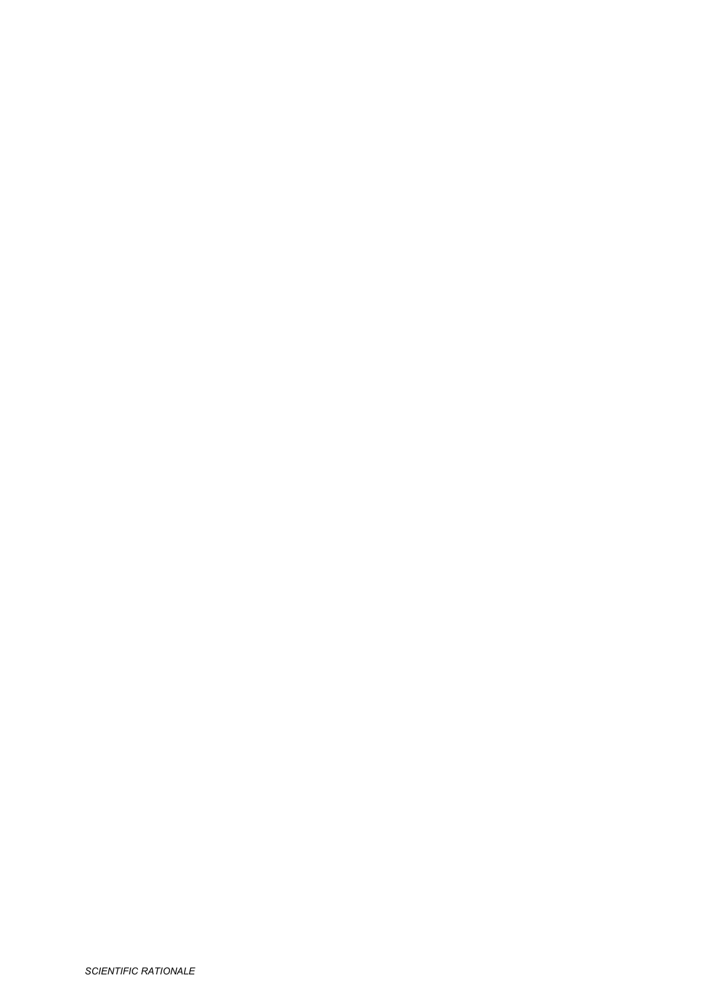*SCIENTIFIC RATIONALE*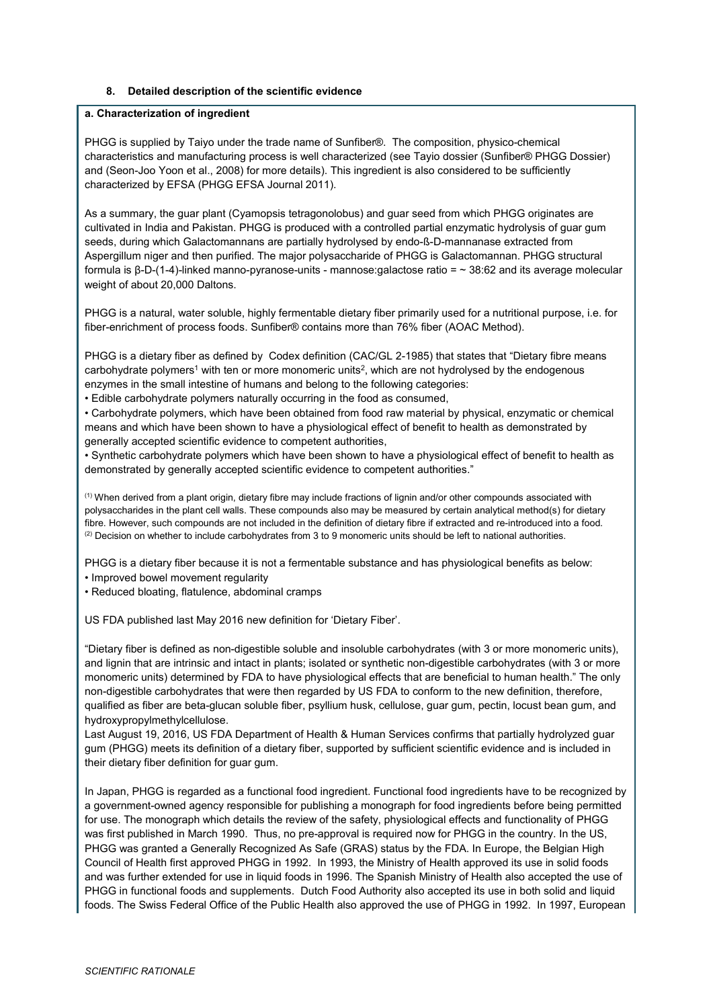# **8. Detailed description of the scientific evidence**

#### **a. Characterization of ingredient**

PHGG is supplied by Taiyo under the trade name of Sunfiber®. The composition, physico-chemical characteristics and manufacturing process is well characterized (see Tayio dossier (Sunfiber® PHGG Dossier) and (Seon-Joo Yoon et al., 2008) for more details). This ingredient is also considered to be sufficiently characterized by EFSA (PHGG EFSA Journal 2011).

As a summary, the guar plant (Cyamopsis tetragonolobus) and guar seed from which PHGG originates are cultivated in India and Pakistan. PHGG is produced with a controlled partial enzymatic hydrolysis of guar gum seeds, during which Galactomannans are partially hydrolysed by endo-ß-D-mannanase extracted from Aspergillum niger and then purified. The major polysaccharide of PHGG is Galactomannan. PHGG structural formula is β-D-(1-4)-linked manno-pyranose-units - mannose:galactose ratio = ~ 38:62 and its average molecular weight of about 20,000 Daltons.

PHGG is a natural, water soluble, highly fermentable dietary fiber primarily used for a nutritional purpose, i.e. for fiber-enrichment of process foods. Sunfiber® contains more than 76% fiber (AOAC Method).

PHGG is a dietary fiber as defined by Codex definition (CAC/GL 2-1985) that states that "Dietary fibre means carbohydrate polymers<sup>1</sup> with ten or more monomeric units<sup>2</sup>, which are not hydrolysed by the endogenous enzymes in the small intestine of humans and belong to the following categories:

• Edible carbohydrate polymers naturally occurring in the food as consumed,

• Carbohydrate polymers, which have been obtained from food raw material by physical, enzymatic or chemical means and which have been shown to have a physiological effect of benefit to health as demonstrated by generally accepted scientific evidence to competent authorities,

• Synthetic carbohydrate polymers which have been shown to have a physiological effect of benefit to health as demonstrated by generally accepted scientific evidence to competent authorities."

 $<sup>(1)</sup>$  When derived from a plant origin, dietary fibre may include fractions of lignin and/or other compounds associated with</sup> polysaccharides in the plant cell walls. These compounds also may be measured by certain analytical method(s) for dietary fibre. However, such compounds are not included in the definition of dietary fibre if extracted and re-introduced into a food.  $(2)$  Decision on whether to include carbohydrates from 3 to 9 monomeric units should be left to national authorities.

PHGG is a dietary fiber because it is not a fermentable substance and has physiological benefits as below:

• Improved bowel movement regularity

• Reduced bloating, flatulence, abdominal cramps

US FDA published last May 2016 new definition for 'Dietary Fiber'.

"Dietary fiber is defined as non-digestible soluble and insoluble carbohydrates (with 3 or more monomeric units), and lignin that are intrinsic and intact in plants; isolated or synthetic non-digestible carbohydrates (with 3 or more monomeric units) determined by FDA to have physiological effects that are beneficial to human health." The only non-digestible carbohydrates that were then regarded by US FDA to conform to the new definition, therefore, qualified as fiber are beta-glucan soluble fiber, psyllium husk, cellulose, guar gum, pectin, locust bean gum, and hydroxypropylmethylcellulose.

Last August 19, 2016, US FDA Department of Health & Human Services confirms that partially hydrolyzed guar gum (PHGG) meets its definition of a dietary fiber, supported by sufficient scientific evidence and is included in their dietary fiber definition for guar gum.

In Japan, PHGG is regarded as a functional food ingredient. Functional food ingredients have to be recognized by a government-owned agency responsible for publishing a monograph for food ingredients before being permitted for use. The monograph which details the review of the safety, physiological effects and functionality of PHGG was first published in March 1990. Thus, no pre-approval is required now for PHGG in the country. In the US, PHGG was granted a Generally Recognized As Safe (GRAS) status by the FDA. In Europe, the Belgian High Council of Health first approved PHGG in 1992. In 1993, the Ministry of Health approved its use in solid foods and was further extended for use in liquid foods in 1996. The Spanish Ministry of Health also accepted the use of PHGG in functional foods and supplements. Dutch Food Authority also accepted its use in both solid and liquid foods. The Swiss Federal Office of the Public Health also approved the use of PHGG in 1992. In 1997, European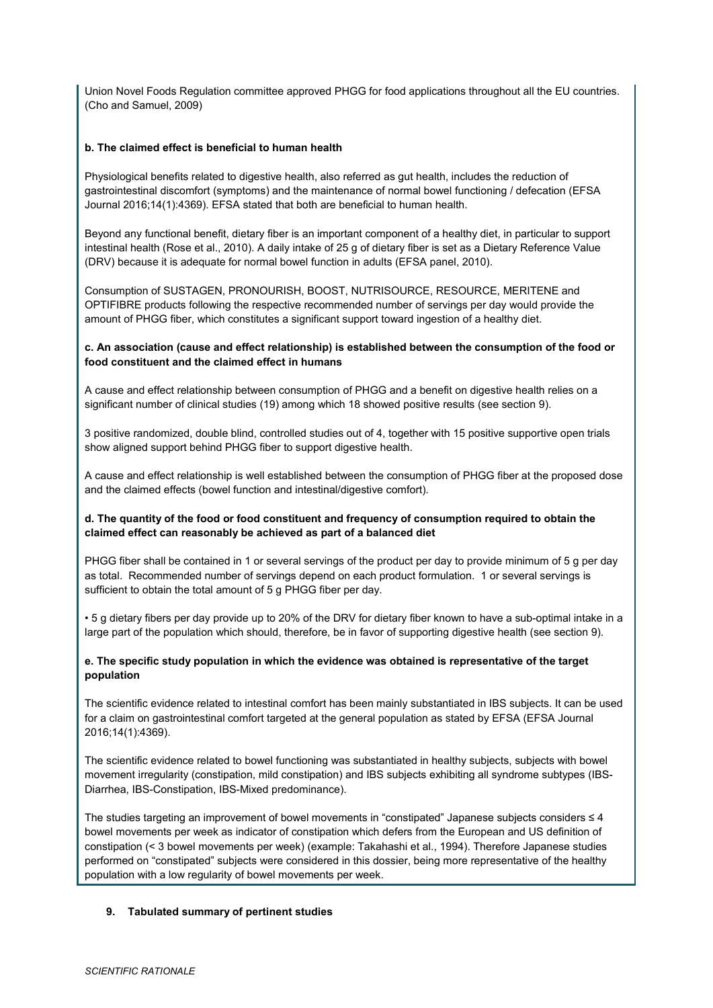Union Novel Foods Regulation committee approved PHGG for food applications throughout all the EU countries. (Cho and Samuel, 2009)

### **b. The claimed effect is beneficial to human health**

Physiological benefits related to digestive health, also referred as gut health, includes the reduction of gastrointestinal discomfort (symptoms) and the maintenance of normal bowel functioning / defecation (EFSA Journal 2016;14(1):4369). EFSA stated that both are beneficial to human health.

Beyond any functional benefit, dietary fiber is an important component of a healthy diet, in particular to support intestinal health (Rose et al., 2010). A daily intake of 25 g of dietary fiber is set as a Dietary Reference Value (DRV) because it is adequate for normal bowel function in adults (EFSA panel, 2010).

Consumption of SUSTAGEN, PRONOURISH, BOOST, NUTRISOURCE, RESOURCE, MERITENE and OPTIFIBRE products following the respective recommended number of servings per day would provide the amount of PHGG fiber, which constitutes a significant support toward ingestion of a healthy diet.

### **c. An association (cause and effect relationship) is established between the consumption of the food or food constituent and the claimed effect in humans**

A cause and effect relationship between consumption of PHGG and a benefit on digestive health relies on a significant number of clinical studies (19) among which 18 showed positive results (see section 9).

3 positive randomized, double blind, controlled studies out of 4, together with 15 positive supportive open trials show aligned support behind PHGG fiber to support digestive health.

A cause and effect relationship is well established between the consumption of PHGG fiber at the proposed dose and the claimed effects (bowel function and intestinal/digestive comfort).

# **d. The quantity of the food or food constituent and frequency of consumption required to obtain the claimed effect can reasonably be achieved as part of a balanced diet**

PHGG fiber shall be contained in 1 or several servings of the product per day to provide minimum of 5 g per day as total. Recommended number of servings depend on each product formulation. 1 or several servings is sufficient to obtain the total amount of 5 g PHGG fiber per day.

• 5 g dietary fibers per day provide up to 20% of the DRV for dietary fiber known to have a sub-optimal intake in a large part of the population which should, therefore, be in favor of supporting digestive health (see section 9).

# **e. The specific study population in which the evidence was obtained is representative of the target population**

The scientific evidence related to intestinal comfort has been mainly substantiated in IBS subjects. It can be used for a claim on gastrointestinal comfort targeted at the general population as stated by EFSA (EFSA Journal 2016;14(1):4369).

The scientific evidence related to bowel functioning was substantiated in healthy subjects, subjects with bowel movement irregularity (constipation, mild constipation) and IBS subjects exhibiting all syndrome subtypes (IBS-Diarrhea, IBS-Constipation, IBS-Mixed predominance).

The studies targeting an improvement of bowel movements in "constipated" Japanese subjects considers ≤ 4 bowel movements per week as indicator of constipation which defers from the European and US definition of constipation (< 3 bowel movements per week) (example: Takahashi et al., 1994). Therefore Japanese studies performed on "constipated" subjects were considered in this dossier, being more representative of the healthy population with a low regularity of bowel movements per week.

# **9. Tabulated summary of pertinent studies**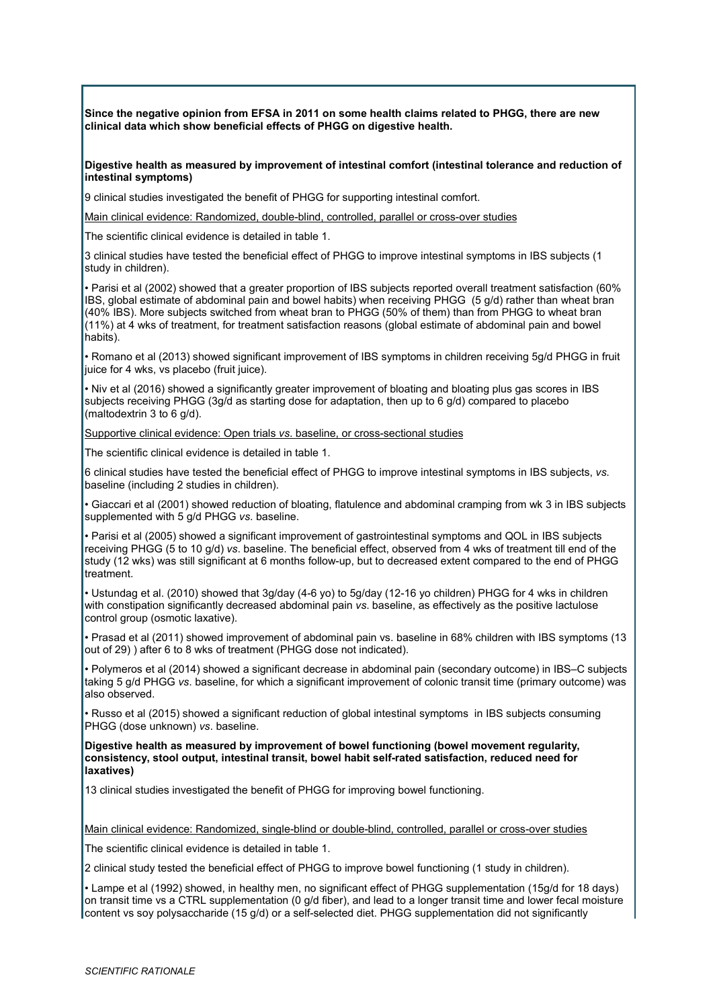**Since the negative opinion from EFSA in 2011 on some health claims related to PHGG, there are new clinical data which show beneficial effects of PHGG on digestive health.** 

**Digestive health as measured by improvement of intestinal comfort (intestinal tolerance and reduction of intestinal symptoms)**

9 clinical studies investigated the benefit of PHGG for supporting intestinal comfort.

Main clinical evidence: Randomized, double-blind, controlled, parallel or cross-over studies

The scientific clinical evidence is detailed in table 1.

3 clinical studies have tested the beneficial effect of PHGG to improve intestinal symptoms in IBS subjects (1 study in children).

• Parisi et al (2002) showed that a greater proportion of IBS subjects reported overall treatment satisfaction (60% IBS, global estimate of abdominal pain and bowel habits) when receiving PHGG (5 g/d) rather than wheat bran (40% IBS). More subjects switched from wheat bran to PHGG (50% of them) than from PHGG to wheat bran (11%) at 4 wks of treatment, for treatment satisfaction reasons (global estimate of abdominal pain and bowel habits).

• Romano et al (2013) showed significant improvement of IBS symptoms in children receiving 5g/d PHGG in fruit juice for 4 wks, vs placebo (fruit juice).

• Niv et al (2016) showed a significantly greater improvement of bloating and bloating plus gas scores in IBS subjects receiving PHGG (3g/d as starting dose for adaptation, then up to 6 g/d) compared to placebo (maltodextrin 3 to 6 g/d).

Supportive clinical evidence: Open trials *vs*. baseline, or cross-sectional studies

The scientific clinical evidence is detailed in table 1.

6 clinical studies have tested the beneficial effect of PHGG to improve intestinal symptoms in IBS subjects, *vs*. baseline (including 2 studies in children).

• Giaccari et al (2001) showed reduction of bloating, flatulence and abdominal cramping from wk 3 in IBS subjects supplemented with 5 g/d PHGG *vs*. baseline.

• Parisi et al (2005) showed a significant improvement of gastrointestinal symptoms and QOL in IBS subjects receiving PHGG (5 to 10 g/d) *vs*. baseline. The beneficial effect, observed from 4 wks of treatment till end of the study (12 wks) was still significant at 6 months follow-up, but to decreased extent compared to the end of PHGG treatment.

• Ustundag et al. (2010) showed that 3g/day (4-6 yo) to 5g/day (12-16 yo children) PHGG for 4 wks in children with constipation significantly decreased abdominal pain *vs*. baseline, as effectively as the positive lactulose control group (osmotic laxative).

• Prasad et al (2011) showed improvement of abdominal pain vs. baseline in 68% children with IBS symptoms (13 out of 29) ) after 6 to 8 wks of treatment (PHGG dose not indicated).

• Polymeros et al (2014) showed a significant decrease in abdominal pain (secondary outcome) in IBS–C subjects taking 5 g/d PHGG *vs*. baseline, for which a significant improvement of colonic transit time (primary outcome) was also observed.

• Russo et al (2015) showed a significant reduction of global intestinal symptoms in IBS subjects consuming PHGG (dose unknown) *vs*. baseline.

**Digestive health as measured by improvement of bowel functioning (bowel movement regularity, consistency, stool output, intestinal transit, bowel habit self-rated satisfaction, reduced need for laxatives)**

13 clinical studies investigated the benefit of PHGG for improving bowel functioning.

Main clinical evidence: Randomized, single-blind or double-blind, controlled, parallel or cross-over studies

The scientific clinical evidence is detailed in table 1.

2 clinical study tested the beneficial effect of PHGG to improve bowel functioning (1 study in children).

• Lampe et al (1992) showed, in healthy men, no significant effect of PHGG supplementation (15g/d for 18 days) on transit time vs a CTRL supplementation (0 g/d fiber), and lead to a longer transit time and lower fecal moisture content vs soy polysaccharide (15 g/d) or a self-selected diet. PHGG supplementation did not significantly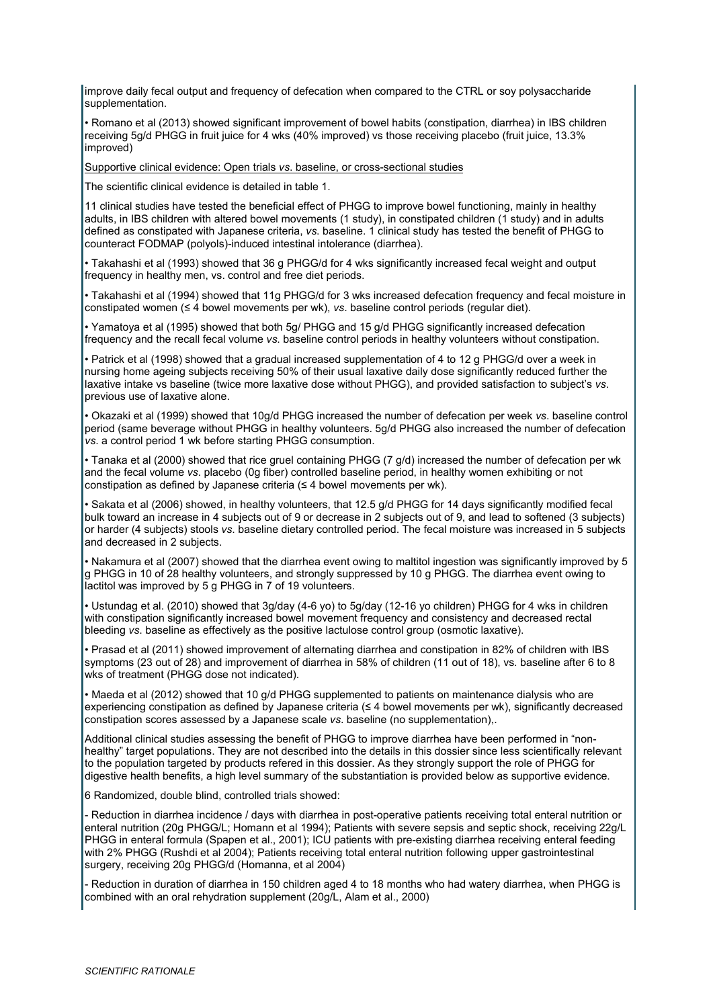improve daily fecal output and frequency of defecation when compared to the CTRL or soy polysaccharide supplementation.

• Romano et al (2013) showed significant improvement of bowel habits (constipation, diarrhea) in IBS children receiving 5g/d PHGG in fruit juice for 4 wks (40% improved) vs those receiving placebo (fruit juice, 13.3% improved)

Supportive clinical evidence: Open trials *vs*. baseline, or cross-sectional studies

The scientific clinical evidence is detailed in table 1.

11 clinical studies have tested the beneficial effect of PHGG to improve bowel functioning, mainly in healthy adults, in IBS children with altered bowel movements (1 study), in constipated children (1 study) and in adults defined as constipated with Japanese criteria, *vs*. baseline. 1 clinical study has tested the benefit of PHGG to counteract FODMAP (polyols)-induced intestinal intolerance (diarrhea).

• Takahashi et al (1993) showed that 36 g PHGG/d for 4 wks significantly increased fecal weight and output frequency in healthy men, vs. control and free diet periods.

• Takahashi et al (1994) showed that 11g PHGG/d for 3 wks increased defecation frequency and fecal moisture in constipated women (≤ 4 bowel movements per wk), *vs*. baseline control periods (regular diet).

• Yamatoya et al (1995) showed that both 5g/ PHGG and 15 g/d PHGG significantly increased defecation frequency and the recall fecal volume *vs*. baseline control periods in healthy volunteers without constipation.

• Patrick et al (1998) showed that a gradual increased supplementation of 4 to 12 g PHGG/d over a week in nursing home ageing subjects receiving 50% of their usual laxative daily dose significantly reduced further the laxative intake vs baseline (twice more laxative dose without PHGG), and provided satisfaction to subject's *vs*. previous use of laxative alone.

• Okazaki et al (1999) showed that 10g/d PHGG increased the number of defecation per week *vs*. baseline control period (same beverage without PHGG in healthy volunteers. 5g/d PHGG also increased the number of defecation *vs*. a control period 1 wk before starting PHGG consumption.

• Tanaka et al (2000) showed that rice gruel containing PHGG (7 g/d) increased the number of defecation per wk and the fecal volume *vs*. placebo (0g fiber) controlled baseline period, in healthy women exhibiting or not constipation as defined by Japanese criteria ( $\leq 4$  bowel movements per wk).

• Sakata et al (2006) showed, in healthy volunteers, that 12.5 g/d PHGG for 14 days significantly modified fecal bulk toward an increase in 4 subjects out of 9 or decrease in 2 subjects out of 9, and lead to softened (3 subjects) or harder (4 subjects) stools *vs*. baseline dietary controlled period. The fecal moisture was increased in 5 subjects and decreased in 2 subjects.

• Nakamura et al (2007) showed that the diarrhea event owing to maltitol ingestion was significantly improved by 5 g PHGG in 10 of 28 healthy volunteers, and strongly suppressed by 10 g PHGG. The diarrhea event owing to lactitol was improved by 5 g PHGG in 7 of 19 volunteers.

• Ustundag et al. (2010) showed that 3g/day (4-6 yo) to 5g/day (12-16 yo children) PHGG for 4 wks in children with constipation significantly increased bowel movement frequency and consistency and decreased rectal bleeding *vs*. baseline as effectively as the positive lactulose control group (osmotic laxative).

• Prasad et al (2011) showed improvement of alternating diarrhea and constipation in 82% of children with IBS symptoms (23 out of 28) and improvement of diarrhea in 58% of children (11 out of 18), vs. baseline after 6 to 8 wks of treatment (PHGG dose not indicated).

• Maeda et al (2012) showed that 10 g/d PHGG supplemented to patients on maintenance dialysis who are experiencing constipation as defined by Japanese criteria (≤ 4 bowel movements per wk), significantly decreased constipation scores assessed by a Japanese scale *vs*. baseline (no supplementation),.

Additional clinical studies assessing the benefit of PHGG to improve diarrhea have been performed in "nonhealthy" target populations. They are not described into the details in this dossier since less scientifically relevant to the population targeted by products refered in this dossier. As they strongly support the role of PHGG for digestive health benefits, a high level summary of the substantiation is provided below as supportive evidence.

6 Randomized, double blind, controlled trials showed:

- Reduction in diarrhea incidence / days with diarrhea in post-operative patients receiving total enteral nutrition or enteral nutrition (20g PHGG/L; Homann et al 1994); Patients with severe sepsis and septic shock, receiving 22g/L PHGG in enteral formula (Spapen et al., 2001); ICU patients with pre-existing diarrhea receiving enteral feeding with 2% PHGG (Rushdi et al 2004); Patients receiving total enteral nutrition following upper gastrointestinal surgery, receiving 20g PHGG/d (Homanna, et al 2004)

- Reduction in duration of diarrhea in 150 children aged 4 to 18 months who had watery diarrhea, when PHGG is combined with an oral rehydration supplement (20g/L, Alam et al., 2000)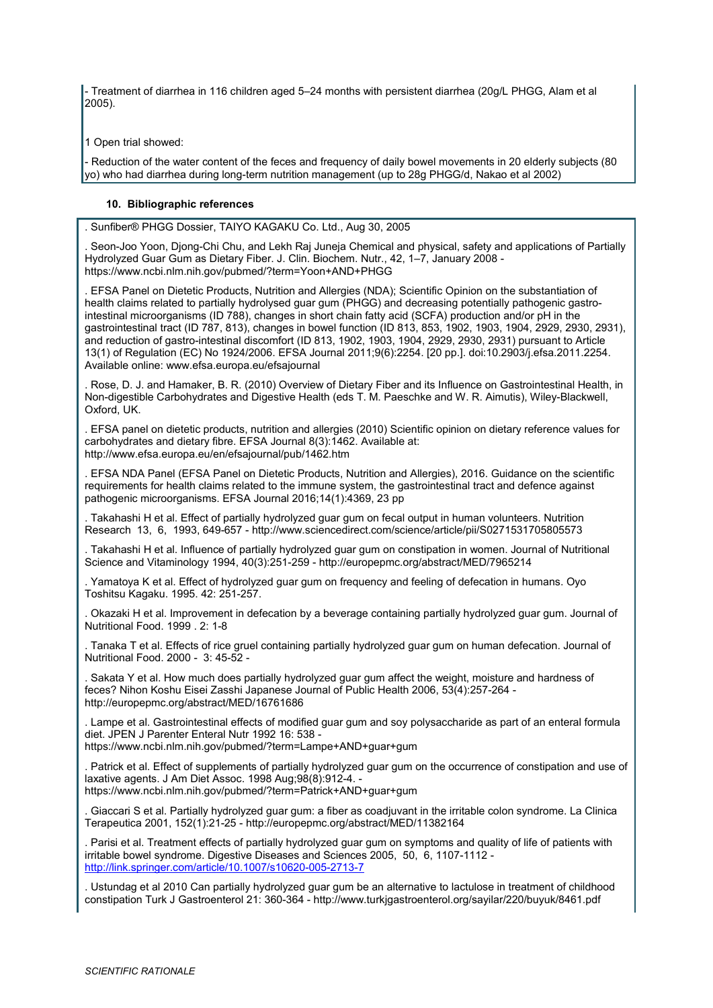- Treatment of diarrhea in 116 children aged 5–24 months with persistent diarrhea (20g/L PHGG, Alam et al 2005).

1 Open trial showed:

- Reduction of the water content of the feces and frequency of daily bowel movements in 20 elderly subjects (80 yo) who had diarrhea during long-term nutrition management (up to 28g PHGG/d, Nakao et al 2002)

#### **10. Bibliographic references**

. Sunfiber® PHGG Dossier, TAIYO KAGAKU Co. Ltd., Aug 30, 2005

. Seon-Joo Yoon, Djong-Chi Chu, and Lekh Raj Juneja Chemical and physical, safety and applications of Partially Hydrolyzed Guar Gum as Dietary Fiber. J. Clin. Biochem. Nutr., 42, 1–7, January 2008 https://www.ncbi.nlm.nih.gov/pubmed/?term=Yoon+AND+PHGG

. EFSA Panel on Dietetic Products, Nutrition and Allergies (NDA); Scientific Opinion on the substantiation of health claims related to partially hydrolysed guar gum (PHGG) and decreasing potentially pathogenic gastrointestinal microorganisms (ID 788), changes in short chain fatty acid (SCFA) production and/or pH in the gastrointestinal tract (ID 787, 813), changes in bowel function (ID 813, 853, 1902, 1903, 1904, 2929, 2930, 2931), and reduction of gastro-intestinal discomfort (ID 813, 1902, 1903, 1904, 2929, 2930, 2931) pursuant to Article 13(1) of Regulation (EC) No 1924/2006. EFSA Journal 2011;9(6):2254. [20 pp.]. doi:10.2903/j.efsa.2011.2254. Available online: www.efsa.europa.eu/efsajournal

. Rose, D. J. and Hamaker, B. R. (2010) Overview of Dietary Fiber and its Influence on Gastrointestinal Health, in Non-digestible Carbohydrates and Digestive Health (eds T. M. Paeschke and W. R. Aimutis), Wiley-Blackwell, Oxford, UK.

. EFSA panel on dietetic products, nutrition and allergies (2010) Scientific opinion on dietary reference values for carbohydrates and dietary fibre. EFSA Journal 8(3):1462. Available at: http://www.efsa.europa.eu/en/efsajournal/pub/1462.htm

. EFSA NDA Panel (EFSA Panel on Dietetic Products, Nutrition and Allergies), 2016. Guidance on the scientific requirements for health claims related to the immune system, the gastrointestinal tract and defence against pathogenic microorganisms. EFSA Journal 2016;14(1):4369, 23 pp

. Takahashi H et al. Effect of partially hydrolyzed guar gum on fecal output in human volunteers. Nutrition Research 13, 6, 1993, 649-657 - http://www.sciencedirect.com/science/article/pii/S0271531705805573

. Takahashi H et al. Influence of partially hydrolyzed guar gum on constipation in women. Journal of Nutritional Science and Vitaminology 1994, 40(3):251-259 - http://europepmc.org/abstract/MED/7965214

. Yamatoya K et al. Effect of hydrolyzed guar gum on frequency and feeling of defecation in humans. Oyo Toshitsu Kagaku. 1995. 42: 251-257.

. Okazaki H et al. Improvement in defecation by a beverage containing partially hydrolyzed guar gum. Journal of Nutritional Food. 1999 . 2: 1-8

. Tanaka T et al. Effects of rice gruel containing partially hydrolyzed guar gum on human defecation. Journal of Nutritional Food. 2000 - 3: 45-52 -

. Sakata Y et al. How much does partially hydrolyzed guar gum affect the weight, moisture and hardness of feces? Nihon Koshu Eisei Zasshi Japanese Journal of Public Health 2006, 53(4):257-264 http://europepmc.org/abstract/MED/16761686

. Lampe et al. Gastrointestinal effects of modified guar gum and soy polysaccharide as part of an enteral formula diet. JPEN J Parenter Enteral Nutr 1992 16: 538 -

https://www.ncbi.nlm.nih.gov/pubmed/?term=Lampe+AND+guar+gum

. Patrick et al. Effect of supplements of partially hydrolyzed guar gum on the occurrence of constipation and use of laxative agents. J Am Diet Assoc. 1998 Aug;98(8):912-4. -

https://www.ncbi.nlm.nih.gov/pubmed/?term=Patrick+AND+guar+gum

. Giaccari S et al. Partially hydrolyzed guar gum: a fiber as coadjuvant in the irritable colon syndrome. La Clinica Terapeutica 2001, 152(1):21-25 - http://europepmc.org/abstract/MED/11382164

. Parisi et al. Treatment effects of partially hydrolyzed guar gum on symptoms and quality of life of patients with irritable bowel syndrome. Digestive Diseases and Sciences 2005, 50, 6, 1107-1112 <http://link.springer.com/article/10.1007/s10620-005-2713-7>

. Ustundag et al 2010 Can partially hydrolyzed guar gum be an alternative to lactulose in treatment of childhood constipation Turk J Gastroenterol 21: 360-364 - http://www.turkjgastroenterol.org/sayilar/220/buyuk/8461.pdf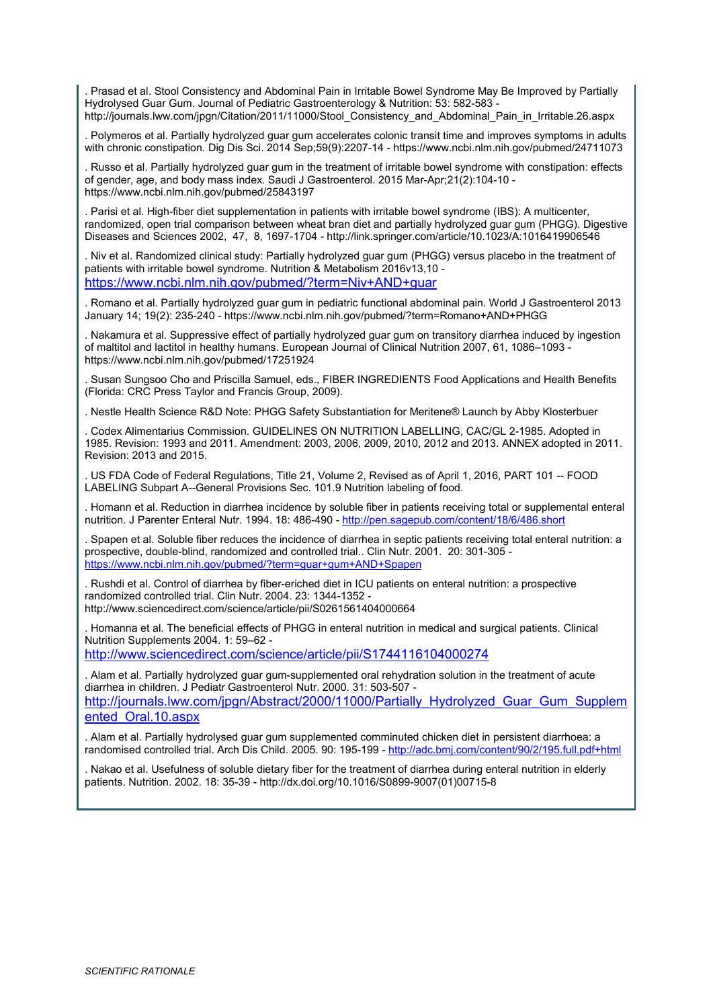. Prasad et al. Stool Consistency and Abdominal Pain in Irritable Bowel Syndrome May Be Improved by Partially Hydrolysed Guar Gum. Journal of Pediatric Gastroenterology & Nutrition: 53: 582-583 http://journals.lww.com/jpgn/Citation/2011/11000/Stool\_Consistency\_and\_Abdominal\_Pain\_in\_Irritable.26.aspx

. Polymeros et al. Partially hydrolyzed guar gum accelerates colonic transit time and improves symptoms in adults with chronic constipation. Dig Dis Sci. 2014 Sep;59(9):2207-14 - https://www.ncbi.nlm.nih.gov/pubmed/24711073

. Russo et al. Partially hydrolyzed guar gum in the treatment of irritable bowel syndrome with constipation: effects of gender, age, and body mass index. Saudi J Gastroenterol. 2015 Mar-Apr;21(2):104-10 https://www.ncbi.nlm.nih.gov/pubmed/25843197

. Parisi et al. High-fiber diet supplementation in patients with irritable bowel syndrome (IBS): A multicenter, randomized, open trial comparison between wheat bran diet and partially hydrolyzed guar gum (PHGG). Digestive Diseases and Sciences 2002, 47, 8, 1697-1704 - http://link.springer.com/article/10.1023/A:1016419906546

. Niv et al. Randomized clinical study: Partially hydrolyzed guar gum (PHGG) versus placebo in the treatment of patients with irritable bowel syndrome. Nutrition & Metabolism 2016v13,10 <https://www.ncbi.nlm.nih.gov/pubmed/?term=Niv+AND+guar>

. Romano et al. Partially hydrolyzed guar gum in pediatric functional abdominal pain. World J Gastroenterol 2013 January 14; 19(2): 235-240 - https://www.ncbi.nlm.nih.gov/pubmed/?term=Romano+AND+PHGG

. Nakamura et al. Suppressive effect of partially hydrolyzed guar gum on transitory diarrhea induced by ingestion of maltitol and lactitol in healthy humans. European Journal of Clinical Nutrition 2007, 61, 1086–1093 https://www.ncbi.nlm.nih.gov/pubmed/17251924

. Susan Sungsoo Cho and Priscilla Samuel, eds., FIBER INGREDIENTS Food Applications and Health Benefits (Florida: CRC Press Taylor and Francis Group, 2009).

. Nestle Health Science R&D Note: PHGG Safety Substantiation for Meritene® Launch by Abby Klosterbuer

. Codex Alimentarius Commission. GUIDELINES ON NUTRITION LABELLING, CAC/GL 2-1985. Adopted in 1985. Revision: 1993 and 2011. Amendment: 2003, 2006, 2009, 2010, 2012 and 2013. ANNEX adopted in 2011. Revision: 2013 and 2015.

. US FDA Code of Federal Regulations, Title 21, Volume 2, Revised as of April 1, 2016, PART 101 -- FOOD LABELING Subpart A--General Provisions Sec. 101.9 Nutrition labeling of food.

. Homann et al. Reduction in diarrhea incidence by soluble fiber in patients receiving total or supplemental enteral nutrition. J Parenter Enteral Nutr. 1994. 18: 486-490 - <http://pen.sagepub.com/content/18/6/486.short>

. Spapen et al. Soluble fiber reduces the incidence of diarrhea in septic patients receiving total enteral nutrition: a prospective, double-blind, randomized and controlled trial.. Clin Nutr. 2001. 20: 301-305 <https://www.ncbi.nlm.nih.gov/pubmed/?term=guar+gum+AND+Spapen>

. Rushdi et al. Control of diarrhea by fiber-eriched diet in ICU patients on enteral nutrition: a prospective randomized controlled trial. Clin Nutr. 2004. 23: 1344-1352 http://www.sciencedirect.com/science/article/pii/S0261561404000664

. Homanna et al. The beneficial effects of PHGG in enteral nutrition in medical and surgical patients. Clinical Nutrition Supplements 2004. 1: 59–62 <http://www.sciencedirect.com/science/article/pii/S1744116104000274>

. Alam et al. Partially hydrolyzed guar gum-supplemented oral rehydration solution in the treatment of acute diarrhea in children. J Pediatr Gastroenterol Nutr. 2000. 31: 503-507 [http://journals.lww.com/jpgn/Abstract/2000/11000/Partially\\_Hydrolyzed\\_Guar\\_Gum\\_Supplem](http://journals.lww.com/jpgn/Abstract/2000/11000/Partially_Hydrolyzed_Guar_Gum_Supplemented_Oral.10.aspx) [ented\\_Oral.10.aspx](http://journals.lww.com/jpgn/Abstract/2000/11000/Partially_Hydrolyzed_Guar_Gum_Supplemented_Oral.10.aspx)

. Alam et al. Partially hydrolysed guar gum supplemented comminuted chicken diet in persistent diarrhoea: a randomised controlled trial. Arch Dis Child. 2005. 90: 195-199 - <http://adc.bmj.com/content/90/2/195.full.pdf+html>

. Nakao et al. Usefulness of soluble dietary fiber for the treatment of diarrhea during enteral nutrition in elderly patients. Nutrition. 2002. 18: 35-39 - http://dx.doi.org/10.1016/S0899-9007(01)00715-8